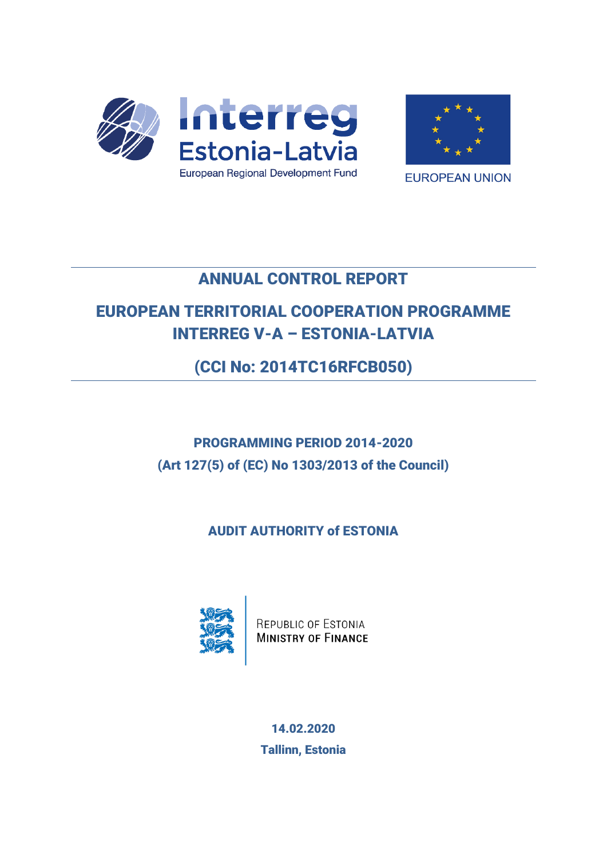



**EUROPEAN UNION** 

## ANNUAL CONTROL REPORT

# EUROPEAN TERRITORIAL COOPERATION PROGRAMME INTERREG V-A – ESTONIA-LATVIA

(CCI No: 2014TC16RFCB050)

# PROGRAMMING PERIOD 2014-2020 (Art 127(5) of (EC) No 1303/2013 of the Council)

AUDIT AUTHORITY of ESTONIA



REPUBLIC OF ESTONIA **MINISTRY OF FINANCE** 

14.02.2020 Tallinn, Estonia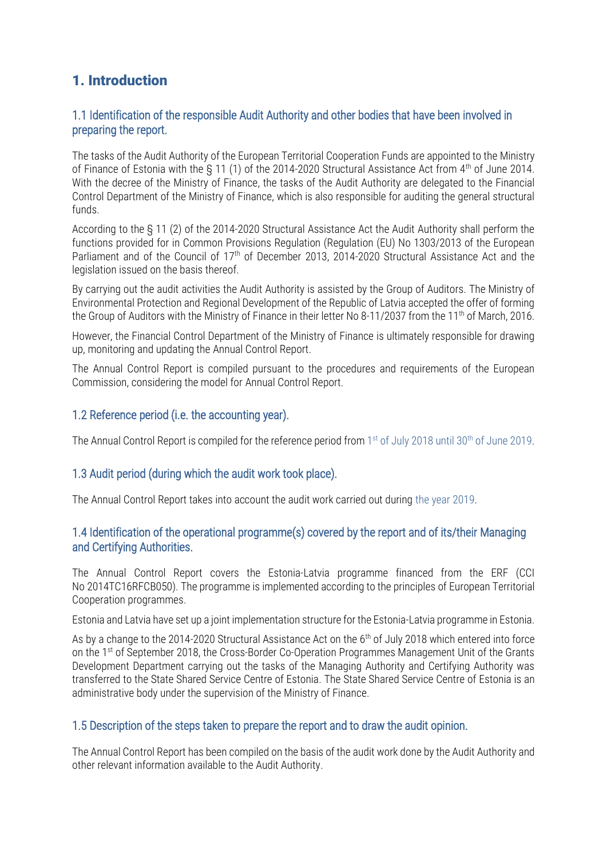## 1. Introduction

#### 1.1 Identification of the responsible Audit Authority and other bodies that have been involved in preparing the report.

The tasks of the Audit Authority of the European Territorial Cooperation Funds are appointed to the Ministry of Finance of Estonia with the § 11 (1) of the 2014-2020 Structural Assistance Act from 4th of June 2014. With the decree of the Ministry of Finance, the tasks of the Audit Authority are delegated to the Financial Control Department of the Ministry of Finance, which is also responsible for auditing the general structural funds.

According to the § 11 (2) of the 2014-2020 Structural Assistance Act the Audit Authority shall perform the functions provided for in Common Provisions Regulation (Regulation (EU) No 1303/2013 of the European Parliament and of the Council of 17<sup>th</sup> of December 2013, 2014-2020 Structural Assistance Act and the legislation issued on the basis thereof.

By carrying out the audit activities the Audit Authority is assisted by the Group of Auditors. The Ministry of Environmental Protection and Regional Development of the Republic of Latvia accepted the offer of forming the Group of Auditors with the Ministry of Finance in their letter No 8-11/2037 from the 11<sup>th</sup> of March, 2016.

However, the Financial Control Department of the Ministry of Finance is ultimately responsible for drawing up, monitoring and updating the Annual Control Report.

The Annual Control Report is compiled pursuant to the procedures and requirements of the European Commission, considering the model for Annual Control Report.

#### 1.2 Reference period (i.e. the accounting year).

The Annual Control Report is compiled for the reference period from 1<sup>st</sup> of July 2018 until 30<sup>th</sup> of June 2019.

#### 1.3 Audit period (during which the audit work took place).

The Annual Control Report takes into account the audit work carried out during the year 2019.

#### 1.4 Identification of the operational programme(s) covered by the report and of its/their Managing and Certifying Authorities.

The Annual Control Report covers the Estonia-Latvia programme financed from the ERF (CCI No 2014TC16RFCB050). The programme is implemented according to the principles of European Territorial Cooperation programmes.

Estonia and Latvia have set up a joint implementation structure for the Estonia-Latvia programme in Estonia.

As by a change to the 2014-2020 Structural Assistance Act on the 6<sup>th</sup> of July 2018 which entered into force on the 1st of September 2018, the Cross-Border Co-Operation Programmes Management Unit of the Grants Development Department carrying out the tasks of the Managing Authority and Certifying Authority was transferred to the State Shared Service Centre of Estonia. The State Shared Service Centre of Estonia is an administrative body under the supervision of the Ministry of Finance.

#### 1.5 Description of the steps taken to prepare the report and to draw the audit opinion.

The Annual Control Report has been compiled on the basis of the audit work done by the Audit Authority and other relevant information available to the Audit Authority.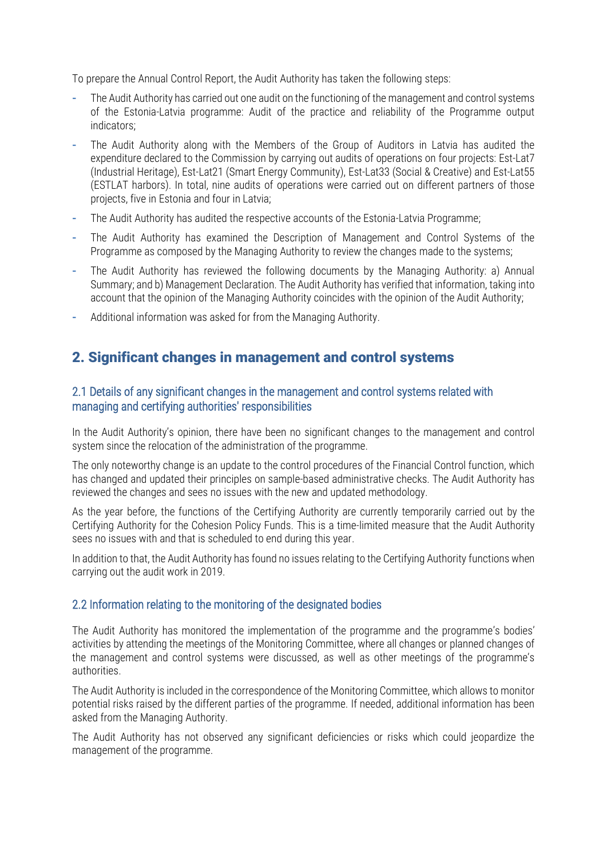To prepare the Annual Control Report, the Audit Authority has taken the following steps:

- **-** The Audit Authority has carried out one audit on the functioning of the management and control systems of the Estonia-Latvia programme: Audit of the practice and reliability of the Programme output indicators;
- **-** The Audit Authority along with the Members of the Group of Auditors in Latvia has audited the expenditure declared to the Commission by carrying out audits of operations on four projects: Est-Lat7 (Industrial Heritage), Est-Lat21 (Smart Energy Community), Est-Lat33 (Social & Creative) and Est-Lat55 (ESTLAT harbors). In total, nine audits of operations were carried out on different partners of those projects, five in Estonia and four in Latvia;
- **-** The Audit Authority has audited the respective accounts of the Estonia-Latvia Programme;
- **-** The Audit Authority has examined the Description of Management and Control Systems of the Programme as composed by the Managing Authority to review the changes made to the systems;
- **-** The Audit Authority has reviewed the following documents by the Managing Authority: a) Annual Summary; and b) Management Declaration. The Audit Authority has verified that information, taking into account that the opinion of the Managing Authority coincides with the opinion of the Audit Authority;
- **-** Additional information was asked for from the Managing Authority.

### 2. Significant changes in management and control systems

#### 2.1 Details of any significant changes in the management and control systems related with managing and certifying authorities' responsibilities

In the Audit Authority's opinion, there have been no significant changes to the management and control system since the relocation of the administration of the programme.

The only noteworthy change is an update to the control procedures of the Financial Control function, which has changed and updated their principles on sample-based administrative checks. The Audit Authority has reviewed the changes and sees no issues with the new and updated methodology.

As the year before, the functions of the Certifying Authority are currently temporarily carried out by the Certifying Authority for the Cohesion Policy Funds. This is a time-limited measure that the Audit Authority sees no issues with and that is scheduled to end during this year.

In addition to that, the Audit Authority has found no issues relating to the Certifying Authority functions when carrying out the audit work in 2019.

#### 2.2 Information relating to the monitoring of the designated bodies

The Audit Authority has monitored the implementation of the programme and the programme's bodies' activities by attending the meetings of the Monitoring Committee, where all changes or planned changes of the management and control systems were discussed, as well as other meetings of the programme's authorities.

The Audit Authority is included in the correspondence of the Monitoring Committee, which allows to monitor potential risks raised by the different parties of the programme. If needed, additional information has been asked from the Managing Authority.

The Audit Authority has not observed any significant deficiencies or risks which could jeopardize the management of the programme.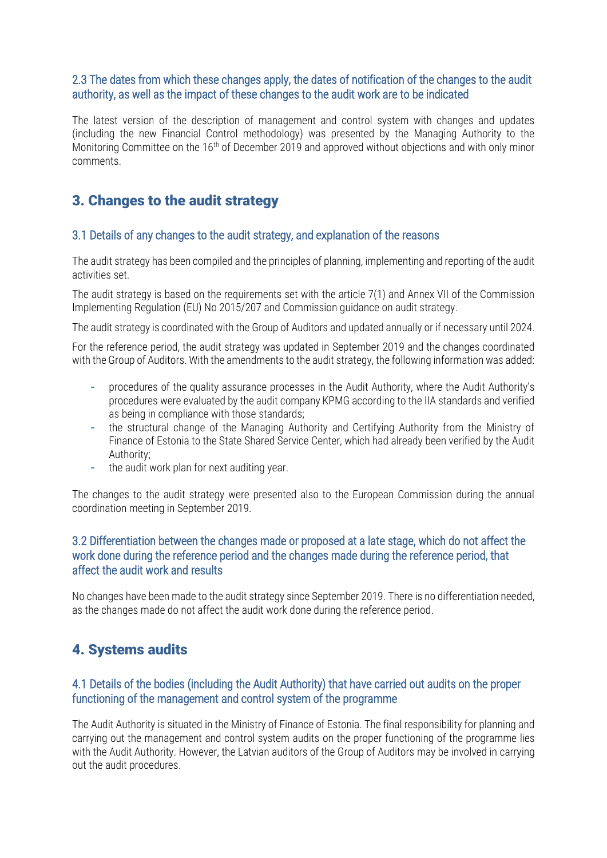#### 2.3 The dates from which these changes apply, the dates of notification of the changes to the audit authority, as well as the impact of these changes to the audit work are to be indicated

The latest version of the description of management and control system with changes and updates (including the new Financial Control methodology) was presented by the Managing Authority to the Monitoring Committee on the 16<sup>th</sup> of December 2019 and approved without objections and with only minor comments.

## 3. Changes to the audit strategy

#### 3.1 Details of any changes to the audit strategy, and explanation of the reasons

The audit strategy has been compiled and the principles of planning, implementing and reporting of the audit activities set.

The audit strategy is based on the requirements set with the article 7(1) and Annex VII of the Commission Implementing Regulation (EU) No 2015/207 and Commission guidance on audit strategy.

The audit strategy is coordinated with the Group of Auditors and updated annually or if necessary until 2024.

For the reference period, the audit strategy was updated in September 2019 and the changes coordinated with the Group of Auditors. With the amendments to the audit strategy, the following information was added:

- **-** procedures of the quality assurance processes in the Audit Authority, where the Audit Authority's procedures were evaluated by the audit company KPMG according to the IIA standards and verified as being in compliance with those standards;
- **-** the structural change of the Managing Authority and Certifying Authority from the Ministry of Finance of Estonia to the State Shared Service Center, which had already been verified by the Audit Authority;
- **-** the audit work plan for next auditing year.

The changes to the audit strategy were presented also to the European Commission during the annual coordination meeting in September 2019.

#### 3.2 Differentiation between the changes made or proposed at a late stage, which do not affect the work done during the reference period and the changes made during the reference period, that affect the audit work and results

No changes have been made to the audit strategy since September 2019. There is no differentiation needed, as the changes made do not affect the audit work done during the reference period.

## 4. Systems audits

#### 4.1 Details of the bodies (including the Audit Authority) that have carried out audits on the proper functioning of the management and control system of the programme

The Audit Authority is situated in the Ministry of Finance of Estonia. The final responsibility for planning and carrying out the management and control system audits on the proper functioning of the programme lies with the Audit Authority. However, the Latvian auditors of the Group of Auditors may be involved in carrying out the audit procedures.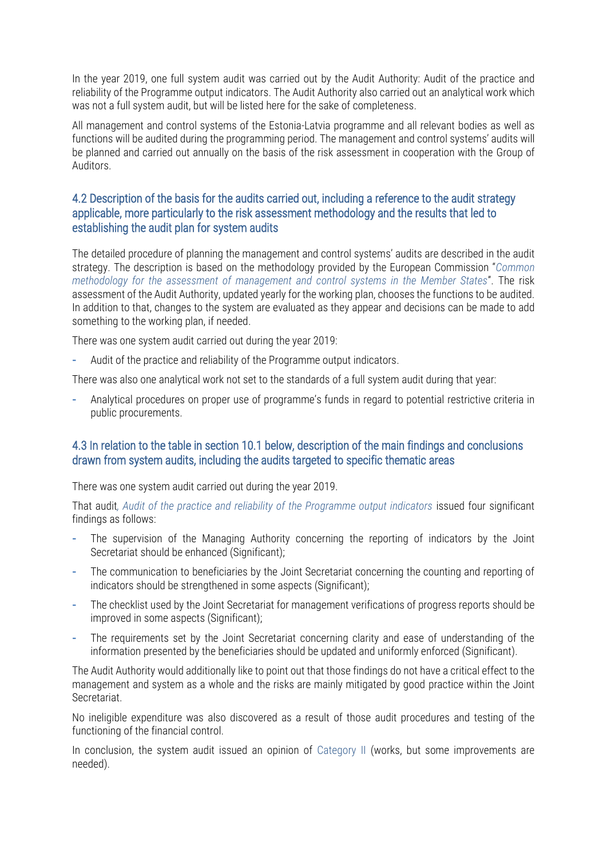In the year 2019, one full system audit was carried out by the Audit Authority: Audit of the practice and reliability of the Programme output indicators. The Audit Authority also carried out an analytical work which was not a full system audit, but will be listed here for the sake of completeness.

All management and control systems of the Estonia-Latvia programme and all relevant bodies as well as functions will be audited during the programming period. The management and control systems' audits will be planned and carried out annually on the basis of the risk assessment in cooperation with the Group of Auditors.

#### 4.2 Description of the basis for the audits carried out, including a reference to the audit strategy applicable, more particularly to the risk assessment methodology and the results that led to establishing the audit plan for system audits

The detailed procedure of planning the management and control systems' audits are described in the audit strategy. The description is based on the methodology provided by the European Commission "*Common methodology for the assessment of management and control systems in the Member States*". The risk assessment of the Audit Authority, updated yearly for the working plan, chooses the functions to be audited. In addition to that, changes to the system are evaluated as they appear and decisions can be made to add something to the working plan, if needed.

There was one system audit carried out during the year 2019:

**-** Audit of the practice and reliability of the Programme output indicators.

There was also one analytical work not set to the standards of a full system audit during that year:

**-** Analytical procedures on proper use of programme's funds in regard to potential restrictive criteria in public procurements.

#### 4.3 In relation to the table in section 10.1 below, description of the main findings and conclusions drawn from system audits, including the audits targeted to specific thematic areas

There was one system audit carried out during the year 2019.

That audit, Audit of the practice and reliability of the Programme output indicators issued four significant findings as follows:

- **-** The supervision of the Managing Authority concerning the reporting of indicators by the Joint Secretariat should be enhanced (Significant);
- **-** The communication to beneficiaries by the Joint Secretariat concerning the counting and reporting of indicators should be strengthened in some aspects (Significant);
- **-** The checklist used by the Joint Secretariat for management verifications of progress reports should be improved in some aspects (Significant);
- **-** The requirements set by the Joint Secretariat concerning clarity and ease of understanding of the information presented by the beneficiaries should be updated and uniformly enforced (Significant).

The Audit Authority would additionally like to point out that those findings do not have a critical effect to the management and system as a whole and the risks are mainly mitigated by good practice within the Joint Secretariat.

No ineligible expenditure was also discovered as a result of those audit procedures and testing of the functioning of the financial control.

In conclusion, the system audit issued an opinion of Category II (works, but some improvements are needed).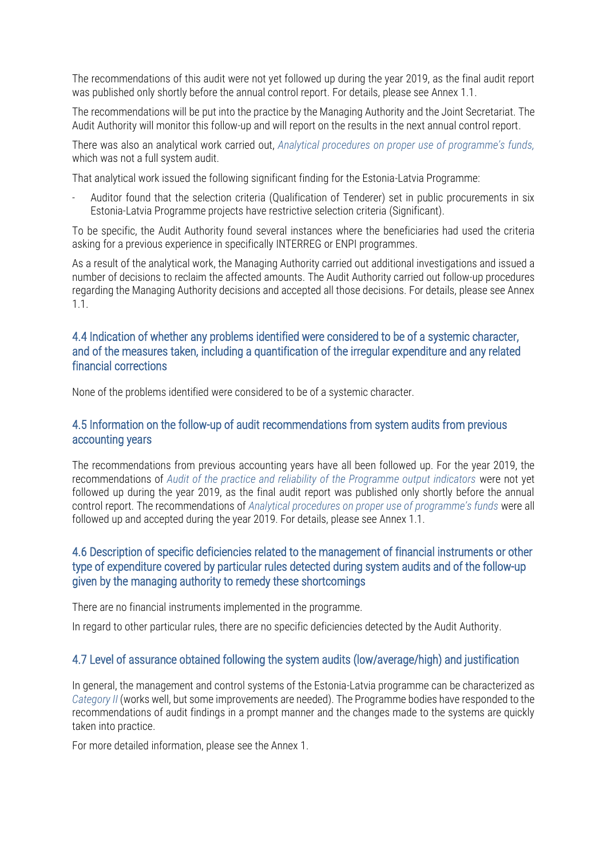The recommendations of this audit were not yet followed up during the year 2019, as the final audit report was published only shortly before the annual control report. For details, please see Annex 1.1.

The recommendations will be put into the practice by the Managing Authority and the Joint Secretariat. The Audit Authority will monitor this follow-up and will report on the results in the next annual control report.

There was also an analytical work carried out, *Analytical procedures on proper use of programme's funds,* which was not a full system audit.

That analytical work issued the following significant finding for the Estonia-Latvia Programme:

- Auditor found that the selection criteria (Qualification of Tenderer) set in public procurements in six Estonia-Latvia Programme projects have restrictive selection criteria (Significant).

To be specific, the Audit Authority found several instances where the beneficiaries had used the criteria asking for a previous experience in specifically INTERREG or ENPI programmes.

As a result of the analytical work, the Managing Authority carried out additional investigations and issued a number of decisions to reclaim the affected amounts. The Audit Authority carried out follow-up procedures regarding the Managing Authority decisions and accepted all those decisions. For details, please see Annex 1.1.

#### 4.4 Indication of whether any problems identified were considered to be of a systemic character, and of the measures taken, including a quantification of the irregular expenditure and any related financial corrections

None of the problems identified were considered to be of a systemic character.

#### 4.5 Information on the follow-up of audit recommendations from system audits from previous accounting years

The recommendations from previous accounting years have all been followed up. For the year 2019, the recommendations of *Audit of the practice and reliability of the Programme output indicators* were not yet followed up during the year 2019, as the final audit report was published only shortly before the annual control report. The recommendations of *Analytical procedures on proper use of programme's funds* were all followed up and accepted during the year 2019. For details, please see Annex 1.1.

#### 4.6 Description of specific deficiencies related to the management of financial instruments or other type of expenditure covered by particular rules detected during system audits and of the follow-up given by the managing authority to remedy these shortcomings

There are no financial instruments implemented in the programme.

In regard to other particular rules, there are no specific deficiencies detected by the Audit Authority.

#### 4.7 Level of assurance obtained following the system audits (low/average/high) and justification

In general, the management and control systems of the Estonia-Latvia programme can be characterized as *Category II* (works well, but some improvements are needed). The Programme bodies have responded to the recommendations of audit findings in a prompt manner and the changes made to the systems are quickly taken into practice.

For more detailed information, please see the Annex 1.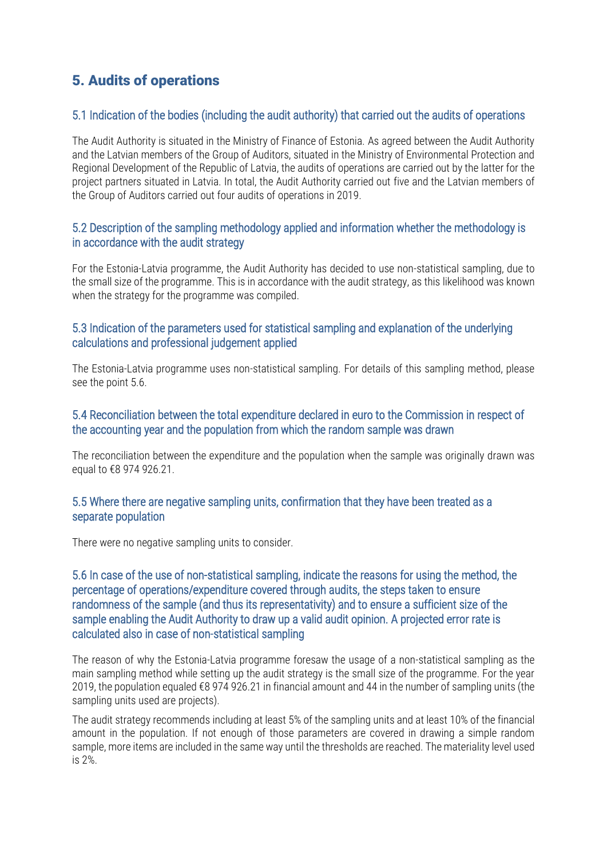## 5. Audits of operations

#### 5.1 Indication of the bodies (including the audit authority) that carried out the audits of operations

The Audit Authority is situated in the Ministry of Finance of Estonia. As agreed between the Audit Authority and the Latvian members of the Group of Auditors, situated in the Ministry of Environmental Protection and Regional Development of the Republic of Latvia, the audits of operations are carried out by the latter for the project partners situated in Latvia. In total, the Audit Authority carried out five and the Latvian members of the Group of Auditors carried out four audits of operations in 2019.

#### 5.2 Description of the sampling methodology applied and information whether the methodology is in accordance with the audit strategy

For the Estonia-Latvia programme, the Audit Authority has decided to use non-statistical sampling, due to the small size of the programme. This is in accordance with the audit strategy, as this likelihood was known when the strategy for the programme was compiled.

#### 5.3 Indication of the parameters used for statistical sampling and explanation of the underlying calculations and professional judgement applied

The Estonia-Latvia programme uses non-statistical sampling. For details of this sampling method, please see the point 5.6.

#### 5.4 Reconciliation between the total expenditure declared in euro to the Commission in respect of the accounting year and the population from which the random sample was drawn

The reconciliation between the expenditure and the population when the sample was originally drawn was equal to €8 974 926.21.

#### 5.5 Where there are negative sampling units, confirmation that they have been treated as a separate population

There were no negative sampling units to consider.

#### 5.6 In case of the use of non-statistical sampling, indicate the reasons for using the method, the percentage of operations/expenditure covered through audits, the steps taken to ensure randomness of the sample (and thus its representativity) and to ensure a sufficient size of the sample enabling the Audit Authority to draw up a valid audit opinion. A projected error rate is calculated also in case of non-statistical sampling

The reason of why the Estonia-Latvia programme foresaw the usage of a non-statistical sampling as the main sampling method while setting up the audit strategy is the small size of the programme. For the year 2019, the population equaled €8 974 926.21 in financial amount and 44 in the number of sampling units (the sampling units used are projects).

The audit strategy recommends including at least 5% of the sampling units and at least 10% of the financial amount in the population. If not enough of those parameters are covered in drawing a simple random sample, more items are included in the same way until the thresholds are reached. The materiality level used is 2%.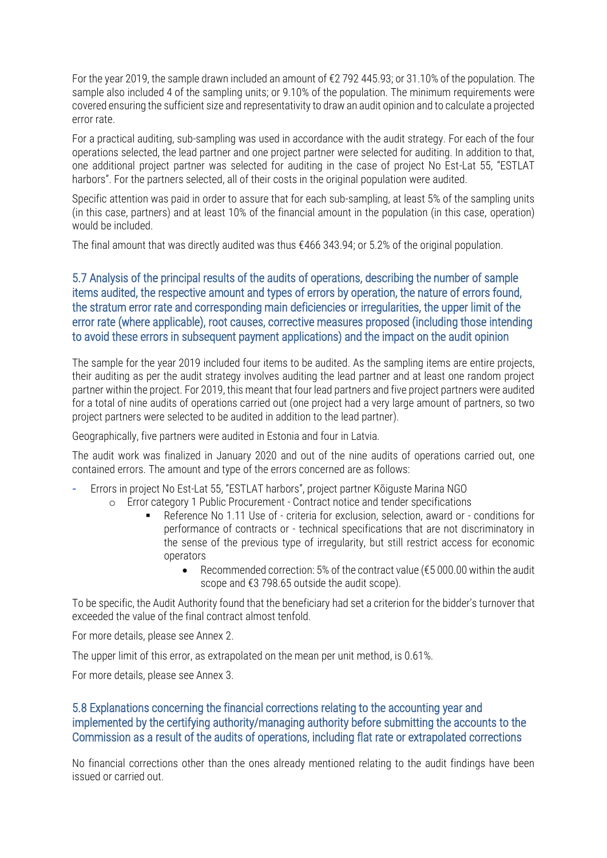For the year 2019, the sample drawn included an amount of €2 792 445.93; or 31.10% of the population. The sample also included 4 of the sampling units; or 9.10% of the population. The minimum requirements were covered ensuring the sufficient size and representativity to draw an audit opinion and to calculate a projected error rate.

For a practical auditing, sub-sampling was used in accordance with the audit strategy. For each of the four operations selected, the lead partner and one project partner were selected for auditing. In addition to that, one additional project partner was selected for auditing in the case of project No Est-Lat 55, "ESTLAT harbors". For the partners selected, all of their costs in the original population were audited.

Specific attention was paid in order to assure that for each sub-sampling, at least 5% of the sampling units (in this case, partners) and at least 10% of the financial amount in the population (in this case, operation) would be included.

The final amount that was directly audited was thus  $\epsilon$ 466 343.94; or 5.2% of the original population.

#### 5.7 Analysis of the principal results of the audits of operations, describing the number of sample items audited, the respective amount and types of errors by operation, the nature of errors found, the stratum error rate and corresponding main deficiencies or irregularities, the upper limit of the error rate (where applicable), root causes, corrective measures proposed (including those intending to avoid these errors in subsequent payment applications) and the impact on the audit opinion

The sample for the year 2019 included four items to be audited. As the sampling items are entire projects, their auditing as per the audit strategy involves auditing the lead partner and at least one random project partner within the project. For 2019, this meant that four lead partners and five project partners were audited for a total of nine audits of operations carried out (one project had a very large amount of partners, so two project partners were selected to be audited in addition to the lead partner).

Geographically, five partners were audited in Estonia and four in Latvia.

The audit work was finalized in January 2020 and out of the nine audits of operations carried out, one contained errors. The amount and type of the errors concerned are as follows:

- **-** Errors in project No Est-Lat 55, "ESTLAT harbors", project partner Kõiguste Marina NGO
	- o Error category 1 Public Procurement Contract notice and tender specifications
		- Reference No 1.11 Use of criteria for exclusion, selection, award or conditions for performance of contracts or - technical specifications that are not discriminatory in the sense of the previous type of irregularity, but still restrict access for economic operators
			- Recommended correction: 5% of the contract value (€5 000.00 within the audit scope and €3 798.65 outside the audit scope).

To be specific, the Audit Authority found that the beneficiary had set a criterion for the bidder's turnover that exceeded the value of the final contract almost tenfold.

For more details, please see Annex 2.

The upper limit of this error, as extrapolated on the mean per unit method, is 0.61%.

For more details, please see Annex 3.

#### 5.8 Explanations concerning the financial corrections relating to the accounting year and implemented by the certifying authority/managing authority before submitting the accounts to the Commission as a result of the audits of operations, including flat rate or extrapolated corrections

No financial corrections other than the ones already mentioned relating to the audit findings have been issued or carried out.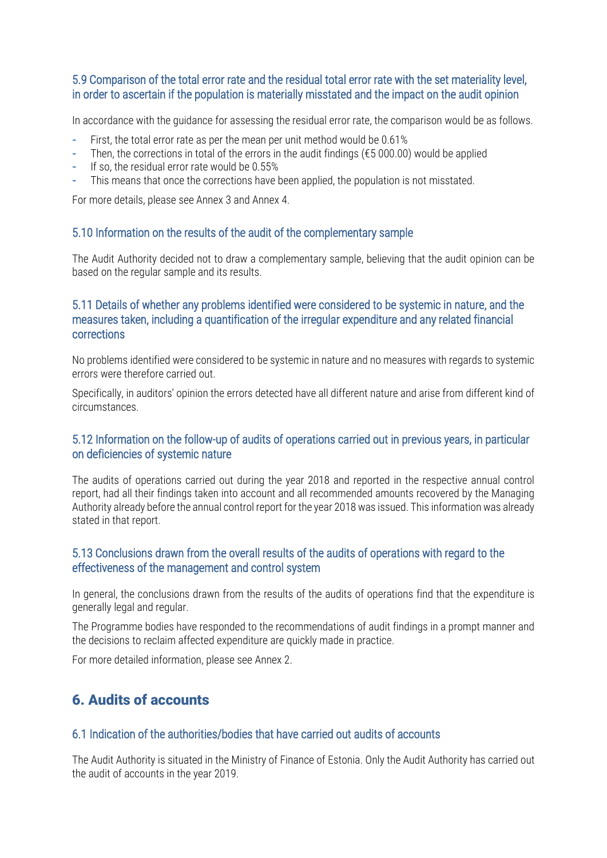#### 5.9 Comparison of the total error rate and the residual total error rate with the set materiality level, in order to ascertain if the population is materially misstated and the impact on the audit opinion

In accordance with the guidance for assessing the residual error rate, the comparison would be as follows.

- **-** First, the total error rate as per the mean per unit method would be 0.61%
- **-** Then, the corrections in total of the errors in the audit findings (€5 000.00) would be applied
- **-** If so, the residual error rate would be 0.55%
- **-** This means that once the corrections have been applied, the population is not misstated.

For more details, please see Annex 3 and Annex 4.

#### 5.10 Information on the results of the audit of the complementary sample

The Audit Authority decided not to draw a complementary sample, believing that the audit opinion can be based on the regular sample and its results.

#### 5.11 Details of whether any problems identified were considered to be systemic in nature, and the measures taken, including a quantification of the irregular expenditure and any related financial corrections

No problems identified were considered to be systemic in nature and no measures with regards to systemic errors were therefore carried out.

Specifically, in auditors' opinion the errors detected have all different nature and arise from different kind of circumstances.

#### 5.12 Information on the follow-up of audits of operations carried out in previous years, in particular on deficiencies of systemic nature

The audits of operations carried out during the year 2018 and reported in the respective annual control report, had all their findings taken into account and all recommended amounts recovered by the Managing Authority already before the annual control report for the year 2018 was issued. This information was already stated in that report.

#### 5.13 Conclusions drawn from the overall results of the audits of operations with regard to the effectiveness of the management and control system

In general, the conclusions drawn from the results of the audits of operations find that the expenditure is generally legal and regular.

The Programme bodies have responded to the recommendations of audit findings in a prompt manner and the decisions to reclaim affected expenditure are quickly made in practice.

For more detailed information, please see Annex 2.

## 6. Audits of accounts

#### 6.1 Indication of the authorities/bodies that have carried out audits of accounts

The Audit Authority is situated in the Ministry of Finance of Estonia. Only the Audit Authority has carried out the audit of accounts in the year 2019.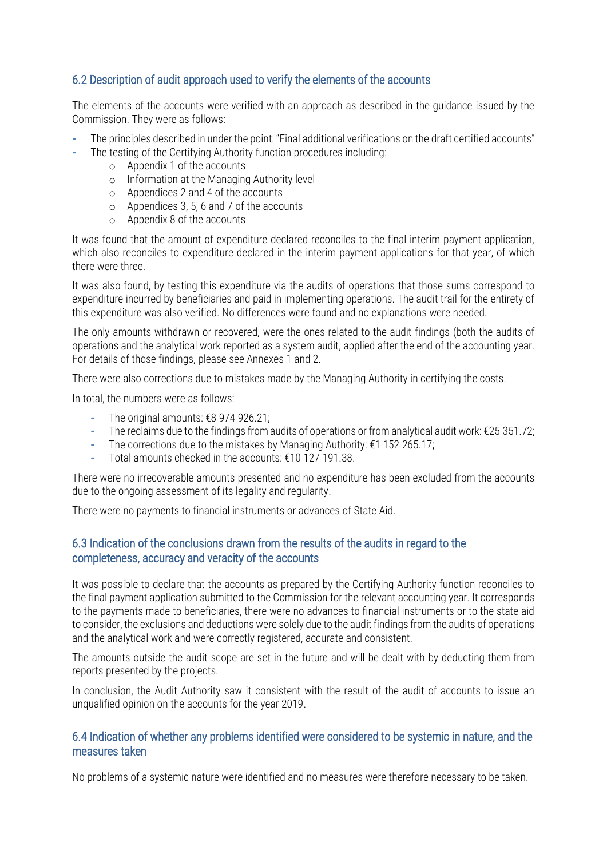#### 6.2 Description of audit approach used to verify the elements of the accounts

The elements of the accounts were verified with an approach as described in the guidance issued by the Commission. They were as follows:

- **-** The principles described in under the point: "Final additional verifications on the draft certified accounts"
- **-** The testing of the Certifying Authority function procedures including:
	- o Appendix 1 of the accounts
	- o Information at the Managing Authority level
	- o Appendices 2 and 4 of the accounts
	- o Appendices 3, 5, 6 and 7 of the accounts
	- o Appendix 8 of the accounts

It was found that the amount of expenditure declared reconciles to the final interim payment application, which also reconciles to expenditure declared in the interim payment applications for that year, of which there were three.

It was also found, by testing this expenditure via the audits of operations that those sums correspond to expenditure incurred by beneficiaries and paid in implementing operations. The audit trail for the entirety of this expenditure was also verified. No differences were found and no explanations were needed.

The only amounts withdrawn or recovered, were the ones related to the audit findings (both the audits of operations and the analytical work reported as a system audit, applied after the end of the accounting year. For details of those findings, please see Annexes 1 and 2.

There were also corrections due to mistakes made by the Managing Authority in certifying the costs.

In total, the numbers were as follows:

- **-** The original amounts: €8 974 926.21;
- **-** The reclaims due to the findings from audits of operations or from analytical audit work: €25 351.72;
- **-** The corrections due to the mistakes by Managing Authority: €1 152 265.17;
- **-** Total amounts checked in the accounts: €10 127 191.38.

There were no irrecoverable amounts presented and no expenditure has been excluded from the accounts due to the ongoing assessment of its legality and regularity.

There were no payments to financial instruments or advances of State Aid.

#### 6.3 Indication of the conclusions drawn from the results of the audits in regard to the completeness, accuracy and veracity of the accounts

It was possible to declare that the accounts as prepared by the Certifying Authority function reconciles to the final payment application submitted to the Commission for the relevant accounting year. It corresponds to the payments made to beneficiaries, there were no advances to financial instruments or to the state aid to consider, the exclusions and deductions were solely due to the audit findings from the audits of operations and the analytical work and were correctly registered, accurate and consistent.

The amounts outside the audit scope are set in the future and will be dealt with by deducting them from reports presented by the projects.

In conclusion, the Audit Authority saw it consistent with the result of the audit of accounts to issue an unqualified opinion on the accounts for the year 2019.

#### 6.4 Indication of whether any problems identified were considered to be systemic in nature, and the measures taken

No problems of a systemic nature were identified and no measures were therefore necessary to be taken.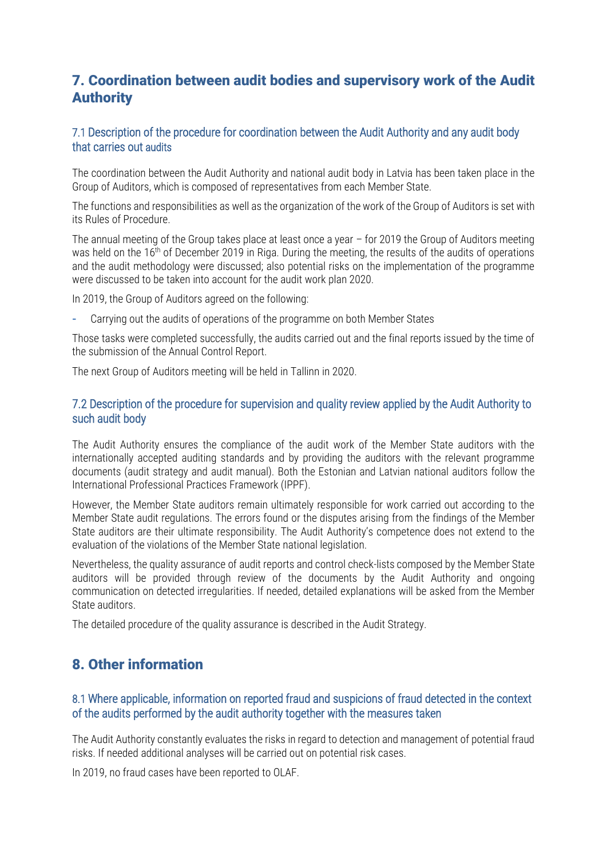## 7. Coordination between audit bodies and supervisory work of the Audit Authority

#### 7.1 Description of the procedure for coordination between the Audit Authority and any audit body that carries out audits

The coordination between the Audit Authority and national audit body in Latvia has been taken place in the Group of Auditors, which is composed of representatives from each Member State.

The functions and responsibilities as well as the organization of the work of the Group of Auditors is set with its Rules of Procedure.

The annual meeting of the Group takes place at least once a year – for 2019 the Group of Auditors meeting was held on the 16<sup>th</sup> of December 2019 in Riga. During the meeting, the results of the audits of operations and the audit methodology were discussed; also potential risks on the implementation of the programme were discussed to be taken into account for the audit work plan 2020.

In 2019, the Group of Auditors agreed on the following:

**-** Carrying out the audits of operations of the programme on both Member States

Those tasks were completed successfully, the audits carried out and the final reports issued by the time of the submission of the Annual Control Report.

The next Group of Auditors meeting will be held in Tallinn in 2020.

#### 7.2 Description of the procedure for supervision and quality review applied by the Audit Authority to such audit body

The Audit Authority ensures the compliance of the audit work of the Member State auditors with the internationally accepted auditing standards and by providing the auditors with the relevant programme documents (audit strategy and audit manual). Both the Estonian and Latvian national auditors follow the International Professional Practices Framework (IPPF).

However, the Member State auditors remain ultimately responsible for work carried out according to the Member State audit regulations. The errors found or the disputes arising from the findings of the Member State auditors are their ultimate responsibility. The Audit Authority's competence does not extend to the evaluation of the violations of the Member State national legislation.

Nevertheless, the quality assurance of audit reports and control check-lists composed by the Member State auditors will be provided through review of the documents by the Audit Authority and ongoing communication on detected irregularities. If needed, detailed explanations will be asked from the Member State auditors.

The detailed procedure of the quality assurance is described in the Audit Strategy.

## 8. Other information

#### 8.1 Where applicable, information on reported fraud and suspicions of fraud detected in the context of the audits performed by the audit authority together with the measures taken

The Audit Authority constantly evaluates the risks in regard to detection and management of potential fraud risks. If needed additional analyses will be carried out on potential risk cases.

In 2019, no fraud cases have been reported to OLAF.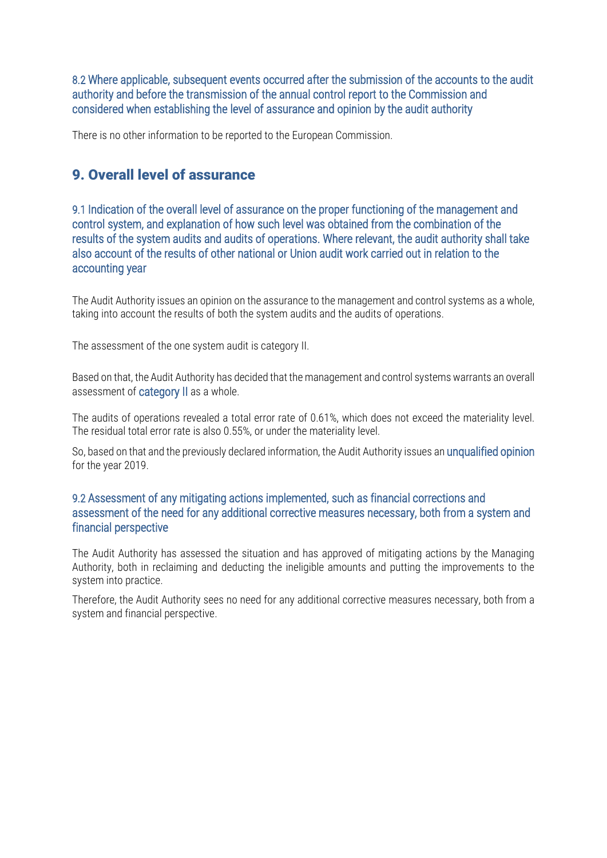8.2 Where applicable, subsequent events occurred after the submission of the accounts to the audit authority and before the transmission of the annual control report to the Commission and considered when establishing the level of assurance and opinion by the audit authority

There is no other information to be reported to the European Commission.

## 9. Overall level of assurance

9.1 Indication of the overall level of assurance on the proper functioning of the management and control system, and explanation of how such level was obtained from the combination of the results of the system audits and audits of operations. Where relevant, the audit authority shall take also account of the results of other national or Union audit work carried out in relation to the accounting year

The Audit Authority issues an opinion on the assurance to the management and control systems as a whole, taking into account the results of both the system audits and the audits of operations.

The assessment of the one system audit is category II.

Based on that, the Audit Authority has decided that the management and control systems warrants an overall assessment of category II as a whole.

The audits of operations revealed a total error rate of 0.61%, which does not exceed the materiality level. The residual total error rate is also 0.55%, or under the materiality level.

So, based on that and the previously declared information, the Audit Authority issues an unqualified opinion for the year 2019.

#### 9.2 Assessment of any mitigating actions implemented, such as financial corrections and assessment of the need for any additional corrective measures necessary, both from a system and financial perspective

The Audit Authority has assessed the situation and has approved of mitigating actions by the Managing Authority, both in reclaiming and deducting the ineligible amounts and putting the improvements to the system into practice.

Therefore, the Audit Authority sees no need for any additional corrective measures necessary, both from a system and financial perspective.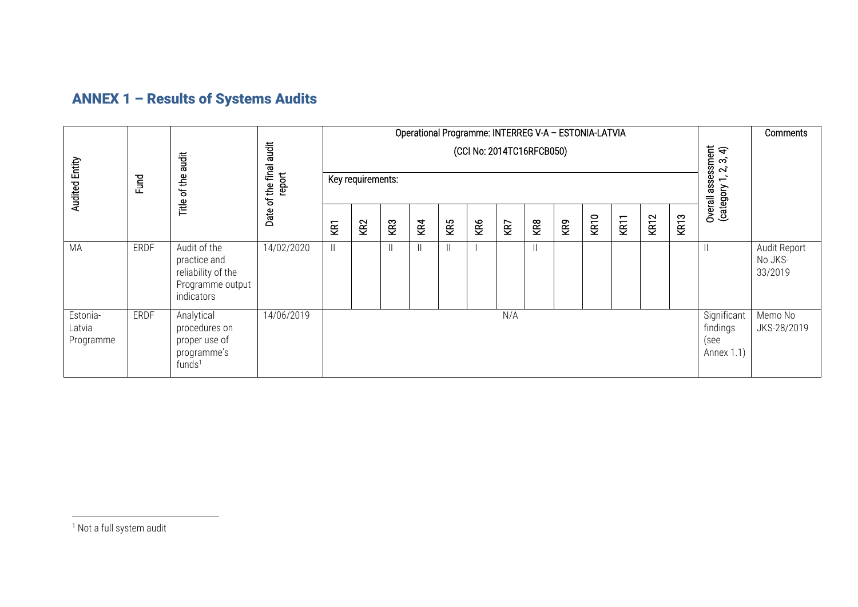# ANNEX 1 – Results of Systems Audits

|                                 |             |                                                                                      |                         | Operational Programme: INTERREG V-A - ESTONIA-LATVIA |                 |               |     |                              |     |                   |                    |                                               |                        |      |                           |                  |  | Comments                           |  |  |  |                                             |  |
|---------------------------------|-------------|--------------------------------------------------------------------------------------|-------------------------|------------------------------------------------------|-----------------|---------------|-----|------------------------------|-----|-------------------|--------------------|-----------------------------------------------|------------------------|------|---------------------------|------------------|--|------------------------------------|--|--|--|---------------------------------------------|--|
| <b>Audited Entity</b>           | Fund        |                                                                                      | <b>Tigues</b><br>of the |                                                      |                 |               |     | of the final audit<br>report |     | Key requirements: |                    |                                               |                        |      | (CCI No: 2014TC16RFCB050) |                  |  |                                    |  |  |  | Overall assessment<br>(category 1, 2, 3, 4) |  |
|                                 |             | Title                                                                                | Date                    | KRT                                                  | KR <sub>2</sub> | KR3           | KR4 | KR5                          | KR6 | KR7               | KR8                | KR9                                           | <b>KR10</b>            | KR11 | KR <sub>12</sub>          | KR <sub>13</sub> |  |                                    |  |  |  |                                             |  |
| MA                              | <b>ERDF</b> | Audit of the<br>practice and<br>reliability of the<br>Programme output<br>indicators | 14/02/2020              |                                                      |                 | $\mathbf{  }$ |     | Ш.                           |     |                   | $\left  {}\right $ |                                               |                        |      |                           |                  |  | Audit Report<br>No JKS-<br>33/2019 |  |  |  |                                             |  |
| Estonia-<br>Latvia<br>Programme | ERDF        | Analytical<br>procedures on<br>proper use of<br>programme's<br>funds <sup>1</sup>    | 14/06/2019              |                                                      | N/A             |               |     |                              |     |                   |                    | Significant<br>findings<br>(see<br>Annex 1.1) | Memo No<br>JKS-28/2019 |      |                           |                  |  |                                    |  |  |  |                                             |  |

<sup>1</sup> Not a full system audit

 $\overline{a}$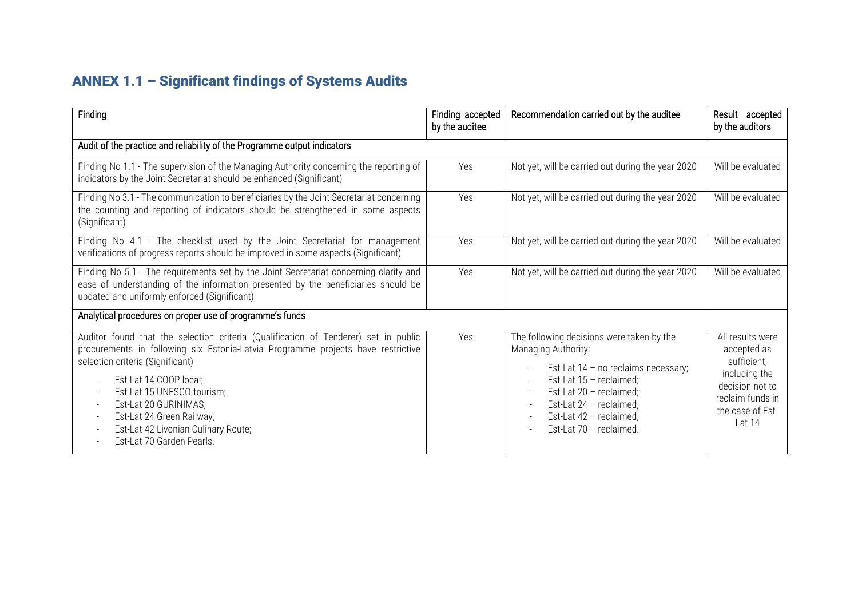# ANNEX 1.1 – Significant findings of Systems Audits

| Finding                                                                                                                                                                                                                                                                                                                                                                                       | Finding accepted<br>by the auditee | Recommendation carried out by the auditee                                                                                                                                                                                                          | Result accepted<br>by the auditors                                                                                                     |  |  |  |  |  |  |  |
|-----------------------------------------------------------------------------------------------------------------------------------------------------------------------------------------------------------------------------------------------------------------------------------------------------------------------------------------------------------------------------------------------|------------------------------------|----------------------------------------------------------------------------------------------------------------------------------------------------------------------------------------------------------------------------------------------------|----------------------------------------------------------------------------------------------------------------------------------------|--|--|--|--|--|--|--|
| Audit of the practice and reliability of the Programme output indicators                                                                                                                                                                                                                                                                                                                      |                                    |                                                                                                                                                                                                                                                    |                                                                                                                                        |  |  |  |  |  |  |  |
| Finding No 1.1 - The supervision of the Managing Authority concerning the reporting of<br>indicators by the Joint Secretariat should be enhanced (Significant)                                                                                                                                                                                                                                | Yes                                | Not yet, will be carried out during the year 2020                                                                                                                                                                                                  | Will be evaluated                                                                                                                      |  |  |  |  |  |  |  |
| Finding No 3.1 - The communication to beneficiaries by the Joint Secretariat concerning<br>the counting and reporting of indicators should be strengthened in some aspects<br>(Significant)                                                                                                                                                                                                   | Yes                                | Not yet, will be carried out during the year 2020                                                                                                                                                                                                  | Will be evaluated                                                                                                                      |  |  |  |  |  |  |  |
| Finding No 4.1 - The checklist used by the Joint Secretariat for management<br>verifications of progress reports should be improved in some aspects (Significant)                                                                                                                                                                                                                             | Yes                                | Not yet, will be carried out during the year 2020                                                                                                                                                                                                  | Will be evaluated                                                                                                                      |  |  |  |  |  |  |  |
| Finding No 5.1 - The requirements set by the Joint Secretariat concerning clarity and<br>ease of understanding of the information presented by the beneficiaries should be<br>updated and uniformly enforced (Significant)                                                                                                                                                                    | Yes                                | Not yet, will be carried out during the year 2020                                                                                                                                                                                                  | Will be evaluated                                                                                                                      |  |  |  |  |  |  |  |
| Analytical procedures on proper use of programme's funds                                                                                                                                                                                                                                                                                                                                      |                                    |                                                                                                                                                                                                                                                    |                                                                                                                                        |  |  |  |  |  |  |  |
| Auditor found that the selection criteria (Qualification of Tenderer) set in public<br>procurements in following six Estonia-Latvia Programme projects have restrictive<br>selection criteria (Significant)<br>Est-Lat 14 COOP local;<br>Est-Lat 15 UNESCO-tourism;<br>Est-Lat 20 GURINIMAS;<br>Est-Lat 24 Green Railway;<br>Est-Lat 42 Livonian Culinary Route;<br>Est-Lat 70 Garden Pearls. | Yes                                | The following decisions were taken by the<br>Managing Authority:<br>Est-Lat 14 - no reclaims necessary;<br>Est-Lat $15$ - reclaimed;<br>Est-Lat 20 - reclaimed;<br>Est-Lat $24$ - reclaimed;<br>Est-Lat 42 - reclaimed;<br>Est-Lat 70 - reclaimed. | All results were<br>accepted as<br>sufficient,<br>including the<br>decision not to<br>reclaim funds in<br>the case of Est-<br>Lat $14$ |  |  |  |  |  |  |  |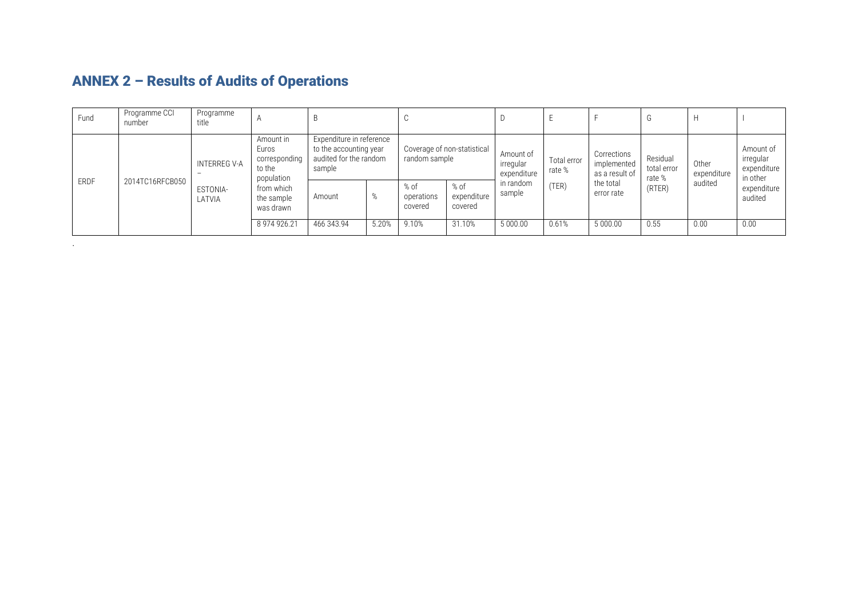| Fund        | Programme CCI<br>number | Programme<br>title                       | $\overline{A}$                                              |                                                                                        |       | ◡                                            |                                |                                       |                       |                                              |                                   |                      |                                                   |
|-------------|-------------------------|------------------------------------------|-------------------------------------------------------------|----------------------------------------------------------------------------------------|-------|----------------------------------------------|--------------------------------|---------------------------------------|-----------------------|----------------------------------------------|-----------------------------------|----------------------|---------------------------------------------------|
| <b>ERDF</b> | 2014TC16RFCB050         | INTERREG V-A<br>$\overline{\phantom{a}}$ | Amount in<br>Euros<br>corresponding<br>to the<br>population | Expenditure in reference<br>to the accounting year<br>audited for the random<br>sample |       | Coverage of non-statistical<br>random sample |                                | Amount of<br>irregular<br>expenditure | Total error<br>rate % | Corrections<br>implemented<br>as a result of | Residual<br>total error<br>rate % | Other<br>expenditure | Amount of<br>irregular<br>expenditure<br>in other |
|             |                         | ESTONIA-<br>LATVIA                       | from which<br>the sample<br>was drawn                       | Amount                                                                                 | %     | % of<br>operations<br>covered                | % of<br>expenditure<br>covered | in random<br>sample                   | TER)                  | the total<br>error rate                      | (RTER)                            | audited              | expenditure<br>audited                            |
|             |                         |                                          | 8 974 926.21                                                | 466 343.94                                                                             | 5.20% | 9.10%                                        | 31.10%                         | 5 000.00                              | 0.61%                 | 5 000.00                                     | 0.55                              | 0.00                 | 0.00                                              |

# ANNEX 2 – Results of Audits of Operations

.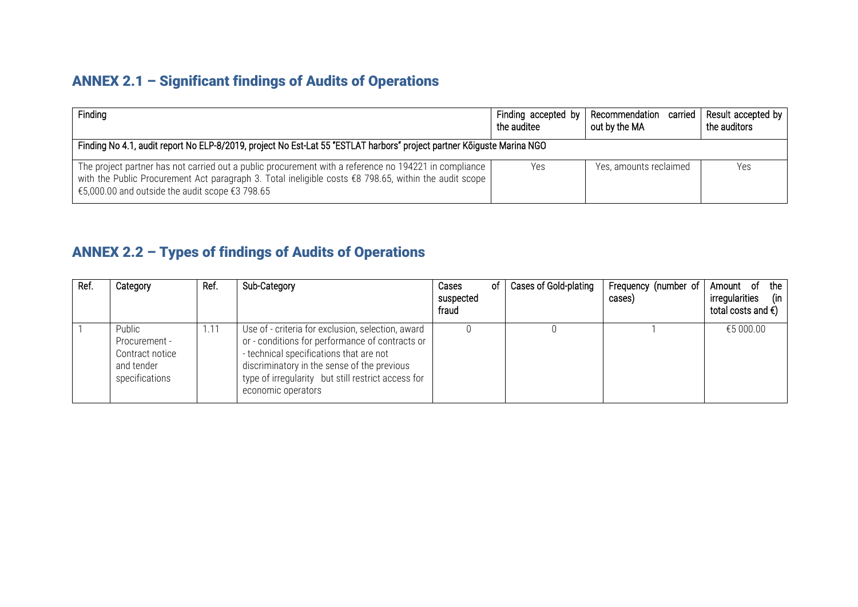## ANNEX 2.1 – Significant findings of Audits of Operations

| Finding                                                                                                                                                                                                                                                             | Finding accepted by<br>the auditee                                                                                     | Recommendation carried<br>out by the MA | Result accepted by<br>the auditors |  |  |  |  |  |  |  |  |
|---------------------------------------------------------------------------------------------------------------------------------------------------------------------------------------------------------------------------------------------------------------------|------------------------------------------------------------------------------------------------------------------------|-----------------------------------------|------------------------------------|--|--|--|--|--|--|--|--|
|                                                                                                                                                                                                                                                                     | Finding No 4.1, audit report No ELP-8/2019, project No Est-Lat 55 "ESTLAT harbors" project partner Kõiguste Marina NGO |                                         |                                    |  |  |  |  |  |  |  |  |
| The project partner has not carried out a public procurement with a reference no 194221 in compliance<br>with the Public Procurement Act paragraph 3. Total ineligible costs £8 798.65, within the audit scope<br>€5,000.00 and outside the audit scope $€3$ 798.65 | Yes                                                                                                                    | Yes, amounts reclaimed                  | Yes                                |  |  |  |  |  |  |  |  |

# ANNEX 2.2 – Types of findings of Audits of Operations

| Ref. | Category                                                                   | Ref. | Sub-Category                                                                                                                                                                                                                                                               | οf<br>Cases<br>suspected<br>fraud | Cases of Gold-plating | Frequency (number of<br>cases) | the<br>- of<br>Amount<br>irregularities<br>(in<br>total costs and $\epsilon$ ) |
|------|----------------------------------------------------------------------------|------|----------------------------------------------------------------------------------------------------------------------------------------------------------------------------------------------------------------------------------------------------------------------------|-----------------------------------|-----------------------|--------------------------------|--------------------------------------------------------------------------------|
|      | Public<br>Procurement -<br>Contract notice<br>and tender<br>specifications | 1.11 | Use of - criteria for exclusion, selection, award<br>or - conditions for performance of contracts or<br>- technical specifications that are not<br>discriminatory in the sense of the previous<br>type of irregularity but still restrict access for<br>economic operators |                                   |                       |                                | €5 000.00                                                                      |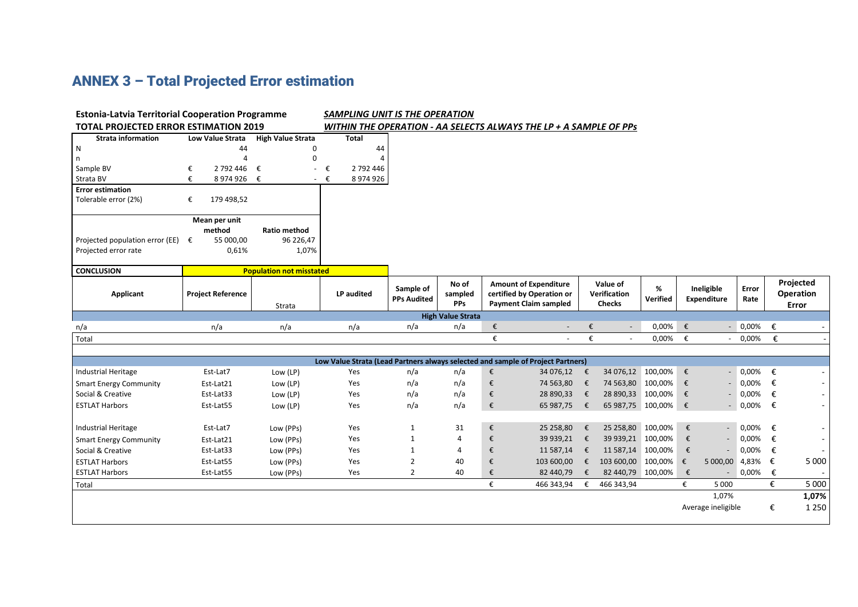# ANNEX 3 – Total Projected Error estimation

| <b>Estonia-Latvia Territorial Cooperation Programme</b> |                          | SAMPLING UNIT IS THE OPERATION  |                        |                    |                                                                   |   |                                                                                 |   |                          |           |            |                          |                 |   |                          |
|---------------------------------------------------------|--------------------------|---------------------------------|------------------------|--------------------|-------------------------------------------------------------------|---|---------------------------------------------------------------------------------|---|--------------------------|-----------|------------|--------------------------|-----------------|---|--------------------------|
| <b>TOTAL PROJECTED ERROR ESTIMATION 2019</b>            |                          |                                 |                        |                    | WITHIN THE OPERATION - AA SELECTS ALWAYS THE LP + A SAMPLE OF PPS |   |                                                                                 |   |                          |           |            |                          |                 |   |                          |
| <b>Strata information</b>                               | Low Value Strata         | <b>High Value Strata</b>        | <b>Total</b>           |                    |                                                                   |   |                                                                                 |   |                          |           |            |                          |                 |   |                          |
| N                                                       | 44                       | $\Omega$                        | 44                     |                    |                                                                   |   |                                                                                 |   |                          |           |            |                          |                 |   |                          |
| n                                                       | 4                        | 0                               |                        |                    |                                                                   |   |                                                                                 |   |                          |           |            |                          |                 |   |                          |
| Sample BV                                               | 2 792 446<br>€           | €                               | 2 792 446<br>€         |                    |                                                                   |   |                                                                                 |   |                          |           |            |                          |                 |   |                          |
| Strata BV                                               | €<br>8974926 €           |                                 | $ \epsilon$<br>8974926 |                    |                                                                   |   |                                                                                 |   |                          |           |            |                          |                 |   |                          |
| <b>Error estimation</b>                                 |                          |                                 |                        |                    |                                                                   |   |                                                                                 |   |                          |           |            |                          |                 |   |                          |
| Tolerable error (2%)                                    | €<br>179 498,52          |                                 |                        |                    |                                                                   |   |                                                                                 |   |                          |           |            |                          |                 |   |                          |
|                                                         | Mean per unit            |                                 |                        |                    |                                                                   |   |                                                                                 |   |                          |           |            |                          |                 |   |                          |
|                                                         | method                   | <b>Ratio method</b>             |                        |                    |                                                                   |   |                                                                                 |   |                          |           |            |                          |                 |   |                          |
| Projected population error (EE) $\epsilon$              | 55 000,00                | 96 226,47                       |                        |                    |                                                                   |   |                                                                                 |   |                          |           |            |                          |                 |   |                          |
| Projected error rate                                    | 0,61%                    | 1,07%                           |                        |                    |                                                                   |   |                                                                                 |   |                          |           |            |                          |                 |   |                          |
|                                                         |                          |                                 |                        |                    |                                                                   |   |                                                                                 |   |                          |           |            |                          |                 |   |                          |
| <b>CONCLUSION</b>                                       |                          | <b>Population not misstated</b> |                        |                    |                                                                   |   |                                                                                 |   |                          |           |            |                          |                 |   |                          |
|                                                         |                          |                                 |                        | Sample of          | No of                                                             |   | <b>Amount of Expenditure</b>                                                    |   | Value of                 | %         |            | Ineligible               | Error           |   | Projected                |
| Applicant                                               | <b>Project Reference</b> |                                 | LP audited             | <b>PPs Audited</b> | sampled                                                           |   | certified by Operation or                                                       |   | Verification             | Verified  |            | <b>Expenditure</b>       | Rate            |   | Operation                |
|                                                         |                          | Strata                          |                        |                    | PPs                                                               |   | <b>Payment Claim sampled</b>                                                    |   | <b>Checks</b>            |           |            |                          |                 |   | Error                    |
|                                                         |                          |                                 |                        |                    | <b>High Value Strata</b>                                          |   |                                                                                 |   |                          |           |            |                          |                 |   |                          |
| n/a                                                     | n/a                      | n/a                             | n/a                    | n/a                | n/a                                                               | € | $\overline{\phantom{a}}$                                                        | € |                          | 0,00%     | €          |                          | $-0,00\%$       | € |                          |
| Total                                                   |                          |                                 |                        |                    |                                                                   | € | $\overline{\phantom{a}}$                                                        | € | $\overline{\phantom{a}}$ | 0,00%     | $\epsilon$ | $\overline{\phantom{a}}$ | 0,00%           | € |                          |
|                                                         |                          |                                 |                        |                    |                                                                   |   |                                                                                 |   |                          |           |            |                          |                 |   |                          |
|                                                         |                          |                                 |                        |                    |                                                                   |   | Low Value Strata (Lead Partners always selected and sample of Project Partners) |   |                          |           |            |                          |                 |   |                          |
| <b>Industrial Heritage</b>                              | Est-Lat7                 | Low (LP)                        | Yes                    | n/a                | n/a                                                               | € | 34 076,12 €                                                                     |   | 34 076,12 100,00%        |           | $\epsilon$ |                          | $-0,00\%$       | € |                          |
| <b>Smart Energy Community</b>                           | Est-Lat21                | Low (LP)                        | Yes                    | n/a                | n/a                                                               | € | 74 563,80                                                                       | € | 74 563,80 100,00%        |           | $\epsilon$ |                          | 0,00%           | € |                          |
| Social & Creative                                       | Est-Lat33                | Low (LP)                        | Yes                    | n/a                | n/a                                                               | € | 28 890,33                                                                       | € | 28 890,33 100,00%        |           | €          |                          | 0,00%           | € | $\overline{\phantom{a}}$ |
| <b>ESTLAT Harbors</b>                                   | Est-Lat55                | Low (LP)                        | Yes                    | n/a                | n/a                                                               | € | 65 987,75 €                                                                     |   | 65 987,75 100,00% €      |           |            |                          | $- 0,00\%$      | € | $\overline{\phantom{a}}$ |
|                                                         |                          |                                 |                        |                    |                                                                   |   |                                                                                 |   |                          |           |            |                          |                 |   |                          |
| <b>Industrial Heritage</b>                              | Est-Lat7                 | Low (PPs)                       | Yes                    | $\mathbf{1}$       | 31                                                                | € | 25 258,80                                                                       | € | 25 258,80                | 100,00%   | €          |                          | $-0,00\%$ $\in$ |   |                          |
| <b>Smart Energy Community</b>                           | Est-Lat21                | Low (PPs)                       | Yes                    | $\mathbf{1}$       | $\overline{4}$                                                    | € | 39 939,21                                                                       | € | 39 939,21                | 100,00%   | €          |                          | 0,00%           | € |                          |
| Social & Creative                                       | Est-Lat33                | Low (PPs)                       | Yes                    | $\mathbf{1}$       | $\overline{4}$                                                    | € | 11 587,14                                                                       | € | 11 587,14                | 100,00%   | €          |                          | 0,00%           | € |                          |
| <b>ESTLAT Harbors</b>                                   | Est-Lat55                | Low (PPs)                       | Yes                    | $\overline{2}$     | 40                                                                | € | 103 600,00                                                                      | € | 103 600,00               | 100,00% € |            | 5 000,00 4,83%           |                 | € | 5 0 0 0                  |
| <b>ESTLAT Harbors</b>                                   | Est-Lat55                | Low (PPs)                       | Yes                    | $\overline{2}$     | 40                                                                | € | 82 440,79                                                                       | € | 82 440,79 100,00%        |           | €          | $\overline{\phantom{a}}$ | 0,00%           | € |                          |
| Total                                                   |                          |                                 |                        |                    |                                                                   | € | 466 343,94                                                                      | € | 466 343,94               |           | €          | 5 0 0 0                  |                 | € | 5 0 0 0                  |
|                                                         |                          |                                 |                        |                    |                                                                   |   |                                                                                 |   |                          |           |            | 1,07%                    |                 |   | 1,07%                    |
|                                                         |                          |                                 |                        |                    |                                                                   |   |                                                                                 |   |                          |           |            | Average ineligible       |                 | € | 1 2 5 0                  |
|                                                         |                          |                                 |                        |                    |                                                                   |   |                                                                                 |   |                          |           |            |                          |                 |   |                          |